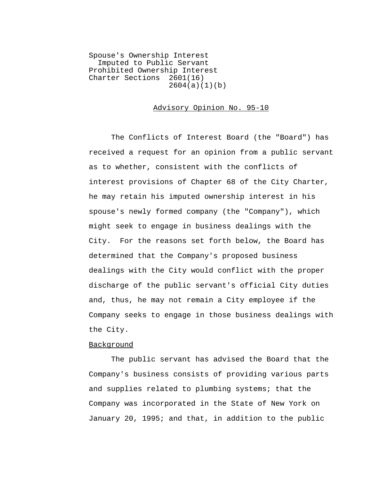Spouse's Ownership Interest Imputed to Public Servant Prohibited Ownership Interest<br>Charter Sections 2601(16) Charter Sections 2604(a)(1)(b)

## Advisory Opinion No. 95-10

The Conflicts of Interest Board (the "Board") has received a request for an opinion from a public servant as to whether, consistent with the conflicts of interest provisions of Chapter 68 of the City Charter, he may retain his imputed ownership interest in his spouse's newly formed company (the "Company"), which might seek to engage in business dealings with the City. For the reasons set forth below, the Board has determined that the Company's proposed business dealings with the City would conflict with the proper discharge of the public servant's official City duties and, thus, he may not remain a City employee if the Company seeks to engage in those business dealings with the City.

## Background

The public servant has advised the Board that the Company's business consists of providing various parts and supplies related to plumbing systems; that the Company was incorporated in the State of New York on January 20, 1995; and that, in addition to the public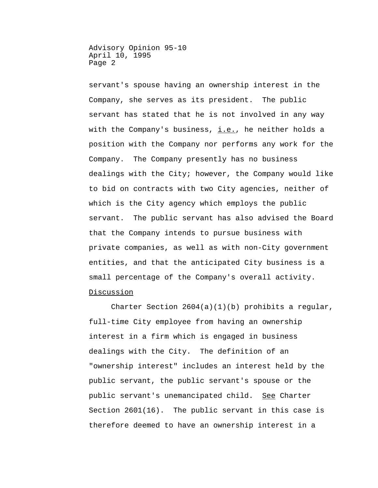servant's spouse having an ownership interest in the Company, she serves as its president. The public servant has stated that he is not involved in any way with the Company's business,  $i.e.,$  he neither holds a position with the Company nor performs any work for the Company. The Company presently has no business dealings with the City; however, the Company would like to bid on contracts with two City agencies, neither of which is the City agency which employs the public servant. The public servant has also advised the Board that the Company intends to pursue business with private companies, as well as with non-City government entities, and that the anticipated City business is a small percentage of the Company's overall activity. Discussion

Charter Section  $2604(a)(1)(b)$  prohibits a regular, full-time City employee from having an ownership interest in a firm which is engaged in business dealings with the City. The definition of an "ownership interest" includes an interest held by the public servant, the public servant's spouse or the public servant's unemancipated child. See Charter Section 2601(16). The public servant in this case is therefore deemed to have an ownership interest in a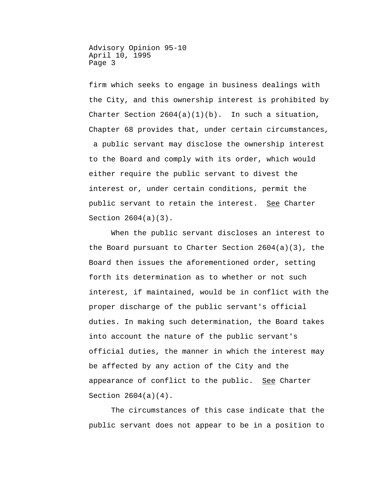firm which seeks to engage in business dealings with the City, and this ownership interest is prohibited by Charter Section  $2604(a)(1)(b)$ . In such a situation, Chapter 68 provides that, under certain circumstances, a public servant may disclose the ownership interest to the Board and comply with its order, which would either require the public servant to divest the interest or, under certain conditions, permit the public servant to retain the interest. See Charter Section 2604(a)(3).

When the public servant discloses an interest to the Board pursuant to Charter Section  $2604(a)(3)$ , the Board then issues the aforementioned order, setting forth its determination as to whether or not such interest, if maintained, would be in conflict with the proper discharge of the public servant's official duties. In making such determination, the Board takes into account the nature of the public servant's official duties, the manner in which the interest may be affected by any action of the City and the appearance of conflict to the public. See Charter Section 2604(a)(4).

The circumstances of this case indicate that the public servant does not appear to be in a position to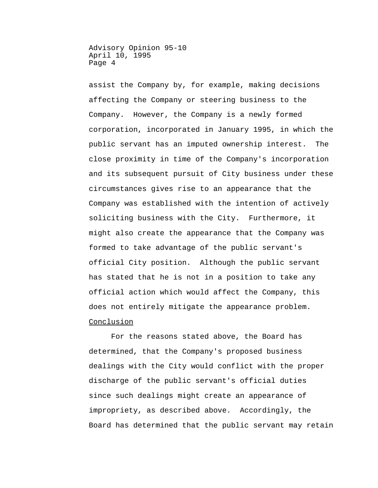assist the Company by, for example, making decisions affecting the Company or steering business to the Company. However, the Company is a newly formed corporation, incorporated in January 1995, in which the public servant has an imputed ownership interest. The close proximity in time of the Company's incorporation and its subsequent pursuit of City business under these circumstances gives rise to an appearance that the Company was established with the intention of actively soliciting business with the City. Furthermore, it might also create the appearance that the Company was formed to take advantage of the public servant's official City position. Although the public servant has stated that he is not in a position to take any official action which would affect the Company, this does not entirely mitigate the appearance problem. Conclusion

For the reasons stated above, the Board has determined, that the Company's proposed business dealings with the City would conflict with the proper discharge of the public servant's official duties since such dealings might create an appearance of impropriety, as described above. Accordingly, the Board has determined that the public servant may retain